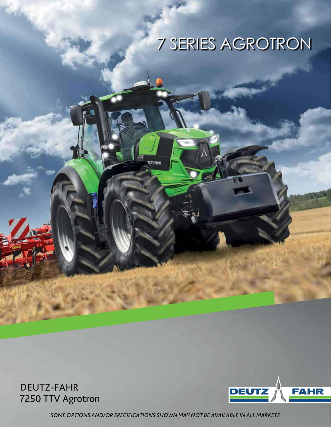## 7 SERIES AGROTRON

DEUTZ-FAHR 7250 TTV Agrotron



*SOME OPTIONS AND/OR SPECIFICATIONS SHOWN MAY NOT BE AVAILABLE IN ALL MARKETS*

**BJTZ-FAMR**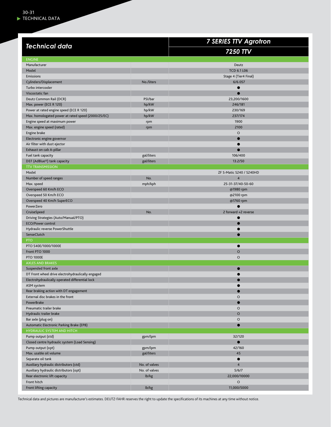|                                                    |               | <b>7 SERIES TTV Agrotron</b> |
|----------------------------------------------------|---------------|------------------------------|
| <b>Technical data</b>                              |               | 7250 TTV                     |
| <b>ENGINE</b>                                      |               |                              |
| Manufacturer                                       |               | Deutz                        |
| Model                                              |               | <b>TCD 6.1 L06</b>           |
| Emissions                                          |               | Stage 4 (Tier4 Final)        |
| Cylinders/Displacement                             | No./liters    | 6/6.057                      |
| Turbo intercooler                                  |               | $\bullet$                    |
| Viscostatic fan                                    |               | ۰                            |
| Deutz Common Rail (DCR)                            | PSI/bar       | 23,200/1600                  |
| Max. power (ECE R 120)                             | hp/kW         | 246/181                      |
| Power at rated engine speed (ECE R 120)            | hp/kW         | 230/169                      |
| Max. homologated power at rated speed (2000/25/EC) | hp/kW         | 237/174                      |
| Engine speed at maximum power                      | rpm           | 1900                         |
| Max. engine speed (rated)                          | rpm           | 2100                         |
| Engine brake                                       |               | $\circ$                      |
| Electronic engine governor                         |               | $\bullet$                    |
| Air filter with dust ejector                       |               | ●                            |
| Exhaust on cab A-pillar                            |               | $\bullet$                    |
| Fuel tank capacity                                 | gal/liters    | 106/400                      |
| DEF (AdBlue <sup>®</sup> ) tank capacity           | gal/liters    | 13.2/50                      |
| <b>TTV TRANSMISSION</b>                            |               |                              |
| Model                                              |               | ZF S-Matic S240 / S240HD     |
| Number of speed ranges                             | No.           | $\overline{4}$               |
| Max. speed                                         | mph/kph       | 25-31-37/40-50-60            |
| Overspeed 60 Km/h ECO                              |               | @1980 rpm                    |
| Overspeed 50 Km/h ECO                              |               | @2100 rpm                    |
| Overspeed 40 Km/h SuperECO                         |               | @1760 rpm                    |
| PowerZero                                          |               |                              |
| CruiseSpeed                                        | No.           | 2 forward +2 reverse         |
| Driving Strategies (Auto/Manual/PTO)               |               |                              |
| <b>ECO/Power control</b>                           |               | C                            |
| Hydraulic reverse PowerShuttle                     |               |                              |
| SenseClutch                                        |               | 0                            |
| <b>PTO</b>                                         |               |                              |
| PTO 540E/1000/1000E                                |               | 0                            |
| Front PTO 1000                                     |               | $\circ$                      |
| <b>PTO 1000E</b>                                   |               | $\circ$                      |
| <b>AXLES AND BRAKES</b>                            |               |                              |
| Suspended front axle                               |               |                              |
| DT Front wheel drive electrohydraulically engaged  |               |                              |
| Electrohydraulically operated differential lock    |               |                              |
| ASM system                                         |               |                              |
| Rear braking action with DT engagement             |               |                              |
| External disc brakes in the front                  |               | O                            |
| PowerBrake                                         |               | $\bullet$                    |
| Pneumatic trailer brake                            |               | $\circ$                      |
| Hydraulic trailer brake                            |               | $\circ$                      |
| Bar axle (plug on)                                 |               | $\circ$                      |
| Automatic Electronic Parking Brake (EPB)           |               | $\bullet$                    |
| HYDRAULIC SYSTEM AND HITCH                         |               |                              |
| Pump output (std)                                  | gpm/lpm       | 32/120                       |
| Closed centre hydraulic system (Load Sensing)      |               | $\bullet$                    |
| Pump output (opt)                                  | gpm/lpm       | 42/160                       |
| Max. usable oil volume                             | gal/liters    | 45                           |
| Separate oil tank                                  |               | $\bullet$                    |
| Auxiliary hydraulic distributors (std)             | No. of valves | $\overline{\mathbf{4}}$      |
| Auxiliary hydraulic distributors (opt)             | No. of valves | 5/6/7                        |
| Rear electronic lift capacity                      | lb/kg         | 22,000/10000                 |
| Front hitch                                        |               | O                            |
|                                                    |               |                              |
| Front lifting capacity                             | lb/kg         | 11,000/5000                  |

Technical data and pictures are manufacturer's estimates. DEUTZ-FAHR reserves the right to update the specifications of its machines at any time without notice.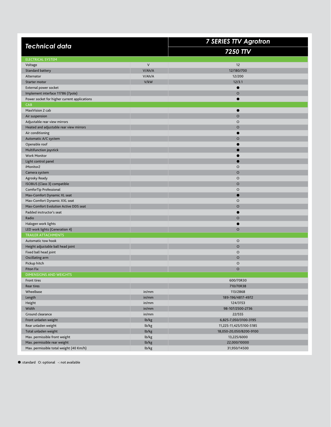| <b>Technical data</b>                        |        | <b>7 SERIES TTV Agrotron</b> |
|----------------------------------------------|--------|------------------------------|
|                                              |        | 7250 TTV                     |
| <b>ELECTRICAL SYSTEM</b>                     |        |                              |
| Voltage                                      | $\vee$ | 12                           |
| Standard battery                             | V/Ah/A | 12/180/700                   |
| Alternator                                   | V/Ah/A | 12/200                       |
| Starter motor                                | V/kW   | 12/3.1                       |
| External power socket                        |        |                              |
| Implement interface 11786 (7pole)            |        | $\circ$                      |
| Power socket for higher current applications |        | 0                            |
| CAB                                          |        |                              |
| MaxiVision 2 cab                             |        |                              |
| Air suspension                               |        | $\circ$                      |
| Adjustable rear view mirrors                 |        | O                            |
| Heated and adjustable rear view mirrors      |        | $\circ$                      |
| Air conditioning                             |        |                              |
| Automatic A/C system                         |        | $\circ$                      |
| Openable roof                                |        |                              |
| Multifunction joystick                       |        |                              |
| <b>Work Monitor</b>                          |        |                              |
| Light control panel                          |        |                              |
| iMonitor2                                    |        | O                            |
| Camera system                                |        | $\circ$                      |
| Agrosky Ready                                |        | O                            |
| ISOBUS (Class 3) compatible                  |        | $\circ$                      |
| ComforTip Professional                       |        | O                            |
| Max-Comfort Dynamic XL seat                  |        | O                            |
| Max-Comfort Dynamic XXL seat                 |        | $\circ$                      |
| Max-Comfort Evolution Active DDS seat        |        | $\circ$                      |
| Padded instructor's seat                     |        | ●                            |
| Radio                                        |        | $\circ$                      |
| Halogen work lights                          |        |                              |
| LED work lights (Generation 4)               |        | $\circ$                      |
| <b>TRAILER ATTACHMENTS</b>                   |        |                              |
| Automatic tow hook                           |        | $\circ$                      |
| Height adjustable ball head joint            |        | $\circ$                      |
| Fixed ball head joint                        |        | $\circ$                      |
| Oscillating arm                              |        | $\circ$                      |
| Pickup hitch                                 |        | O                            |
| <b>Piton Fix</b>                             |        | $\circ$                      |
| <b>DIMENSIONS AND WEIGHTS</b>                |        |                              |
| Front tires                                  |        | 600/70R30                    |
| <b>Rear tires</b>                            |        | 710/70R38                    |
| Wheelbase                                    | in/mm  | 113/2868                     |
| Length                                       | in/mm  | 189-196/4817-4972            |
| Height                                       | in/mm  | 124/3153                     |
| Width                                        | in/mm  | 98-107/2500-2736             |
| Ground clearance                             | in/mm  | 22/555                       |
| Front unladen weight                         | lb/kg  | 6,825-7,050/3100-3195        |
| Rear unladen weight                          | lb/kg  | 11,225-11,425/5100-5185      |
| Total unladen weight                         | lb/kg  | 18,050-20,050/8200-9100      |
| Max. permissible front weight                | lb/kg  | 13,225/6000                  |
| Max. permissible rear weight                 | lb/kg  | 22,000/10000                 |
| Max. permissible total weight (40 Km/h)      | lb/kg  | 31,950/14500                 |

: standard O: optional -: not available